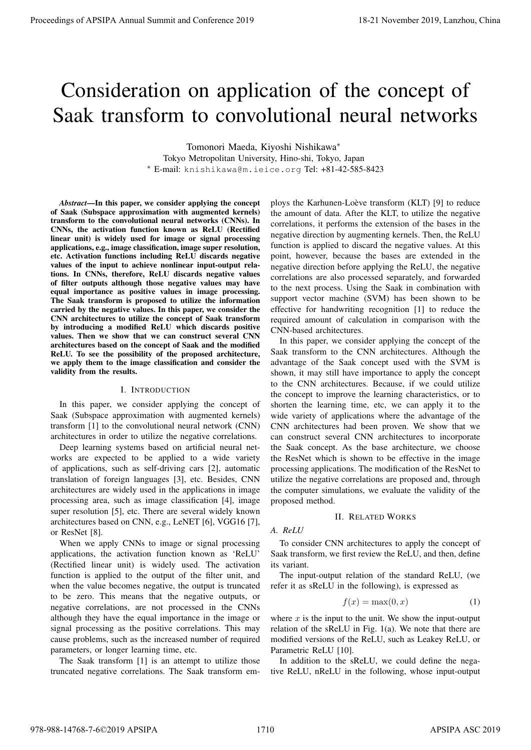# Consideration on application of the concept of Saak transform to convolutional neural networks

Tomonori Maeda, Kiyoshi Nishikawa*<sup>∗</sup>* Tokyo Metropolitan University, Hino-shi, Tokyo, Japan *<sup>∗</sup>* E-mail: knishikawa@m.ieice.org Tel: +81-42-585-8423

*Abstract*—In this paper, we consider applying the concept of Saak (Subspace approximation with augmented kernels) transform to the convolutional neural networks (CNNs). In CNNs, the activation function known as ReLU (Rectified linear unit) is widely used for image or signal processing applications, e.g., image classification, image super resolution, etc. Activation functions including ReLU discards negative values of the input to achieve nonlinear input-output relations. In CNNs, therefore, ReLU discards negative values of filter outputs although those negative values may have equal importance as positive values in image processing. The Saak transform is proposed to utilize the information carried by the negative values. In this paper, we consider the CNN architectures to utilize the concept of Saak transform by introducing a modified ReLU which discards positive values. Then we show that we can construct several CNN architectures based on the concept of Saak and the modified ReLU. To see the possibility of the proposed architecture, we apply them to the image classification and consider the validity from the results. **Proceedings of APSIPA Annual Summit and Conference 2019**<br> **CONSideration on application of the concept of**  $\sim$  **100 and 2019, the conference 2019, the conference 2019, contents of the concept of**  $\sim$  **100 and 2019, the con** 

#### I. INTRODUCTION

In this paper, we consider applying the concept of Saak (Subspace approximation with augmented kernels) transform [1] to the convolutional neural network (CNN) architectures in order to utilize the negative correlations.

Deep learning systems based on artificial neural networks are expected to be applied to a wide variety of applications, such as self-driving cars [2], automatic translation of foreign languages [3], etc. Besides, CNN architectures are widely used in the applications in image processing area, such as image classification [4], image super resolution [5], etc. There are several widely known architectures based on CNN, e.g., LeNET [6], VGG16 [7], or ResNet [8].

When we apply CNNs to image or signal processing applications, the activation function known as 'ReLU' (Rectified linear unit) is widely used. The activation function is applied to the output of the filter unit, and when the value becomes negative, the output is truncated to be zero. This means that the negative outputs, or negative correlations, are not processed in the CNNs although they have the equal importance in the image or signal processing as the positive correlations. This may cause problems, such as the increased number of required parameters, or longer learning time, etc.

The Saak transform [1] is an attempt to utilize those truncated negative correlations. The Saak transform employs the Karhunen-Loève transform (KLT) [9] to reduce the amount of data. After the KLT, to utilize the negative correlations, it performs the extension of the bases in the negative direction by augmenting kernels. Then, the ReLU function is applied to discard the negative values. At this point, however, because the bases are extended in the negative direction before applying the ReLU, the negative correlations are also processed separately, and forwarded to the next process. Using the Saak in combination with support vector machine (SVM) has been shown to be effective for handwriting recognition [1] to reduce the required amount of calculation in comparison with the CNN-based architectures.

In this paper, we consider applying the concept of the Saak transform to the CNN architectures. Although the advantage of the Saak concept used with the SVM is shown, it may still have importance to apply the concept to the CNN architectures. Because, if we could utilize the concept to improve the learning characteristics, or to shorten the learning time, etc, we can apply it to the wide variety of applications where the advantage of the CNN architectures had been proven. We show that we can construct several CNN architectures to incorporate the Saak concept. As the base architecture, we choose the ResNet which is shown to be effective in the image processing applications. The modification of the ResNet to utilize the negative correlations are proposed and, through the computer simulations, we evaluate the validity of the proposed method.

#### II. RELATED WORKS

*A. ReLU*

To consider CNN architectures to apply the concept of Saak transform, we first review the ReLU, and then, define its variant.

The input-output relation of the standard ReLU, (we refer it as sReLU in the following), is expressed as

$$
f(x) = \max(0, x) \tag{1}
$$

where  $x$  is the input to the unit. We show the input-output relation of the sReLU in Fig. 1(a). We note that there are modified versions of the ReLU, such as Leakey ReLU, or Parametric ReLU [10].

In addition to the sReLU, we could define the negative ReLU, nReLU in the following, whose input-output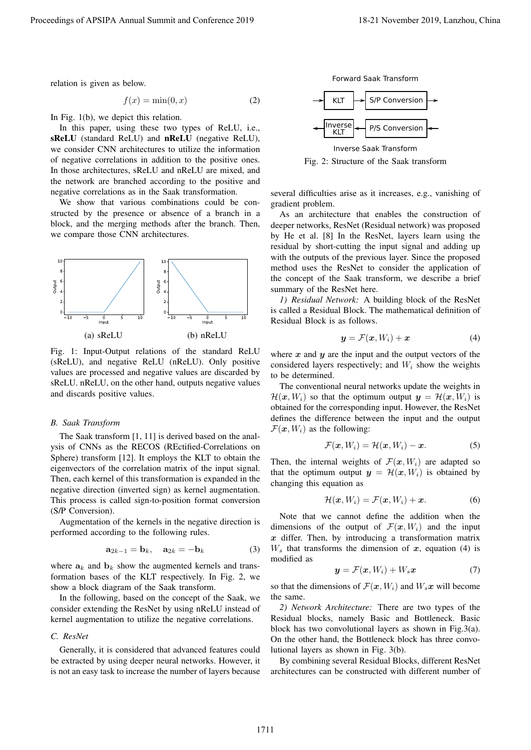relation is given as below.

$$
f(x) = \min(0, x) \tag{2}
$$

In Fig. 1(b), we depict this relation.

In this paper, using these two types of ReLU, i.e., sReLU (standard ReLU) and nReLU (negative ReLU), we consider CNN architectures to utilize the information of negative correlations in addition to the positive ones. In those architectures, sReLU and nReLU are mixed, and the network are branched according to the positive and negative correlations as in the Saak transformation.

We show that various combinations could be constructed by the presence or absence of a branch in a block, and the merging methods after the branch. Then, we compare those CNN architectures.



Fig. 1: Input-Output relations of the standard ReLU (sReLU), and negative ReLU (nReLU). Only positive values are processed and negative values are discarded by sReLU. nReLU, on the other hand, outputs negative values and discards positive values.

# *B. Saak Transform*

The Saak transform [1, 11] is derived based on the analysis of CNNs as the RECOS (REctified-Correlations on Sphere) transform [12]. It employs the KLT to obtain the eigenvectors of the correlation matrix of the input signal. Then, each kernel of this transformation is expanded in the negative direction (inverted sign) as kernel augmentation. This process is called sign-to-position format conversion (S/P Conversion).

Augmentation of the kernels in the negative direction is performed according to the following rules.

$$
\mathbf{a}_{2k-1} = \mathbf{b}_k, \quad \mathbf{a}_{2k} = -\mathbf{b}_k \tag{3}
$$

where  $a_k$  and  $b_k$  show the augmented kernels and transformation bases of the KLT respectively. In Fig. 2, we show a block diagram of the Saak transform.

In the following, based on the concept of the Saak, we consider extending the ResNet by using nReLU instead of kernel augmentation to utilize the negative correlations.

# *C. ResNet*

Generally, it is considered that advanced features could be extracted by using deeper neural networks. However, it is not an easy task to increase the number of layers because

Forward Saak Transform



Inverse Saak Transform Fig. 2: Structure of the Saak transform

several difficulties arise as it increases, e.g., vanishing of gradient problem.

As an architecture that enables the construction of deeper networks, ResNet (Residual network) was proposed by He et al. [8] In the ResNet, layers learn using the residual by short-cutting the input signal and adding up with the outputs of the previous layer. Since the proposed method uses the ResNet to consider the application of the concept of the Saak transform, we describe a brief summary of the ResNet here.

*1) Residual Network:* A building block of the ResNet is called a Residual Block. The mathematical definition of Residual Block is as follows.

$$
\mathbf{y} = \mathcal{F}(\mathbf{x}, W_i) + \mathbf{x} \tag{4}
$$

where  $x$  and  $y$  are the input and the output vectors of the considered layers respectively; and *W<sup>i</sup>* show the weights to be determined.

The conventional neural networks update the weights in  $\mathcal{H}(\boldsymbol{x}, W_i)$  so that the optimum output  $\boldsymbol{y} = \mathcal{H}(\boldsymbol{x}, W_i)$  is obtained for the corresponding input. However, the ResNet defines the difference between the input and the output  $\mathcal{F}(\mathbf{x}, W_i)$  as the following:

$$
\mathcal{F}(\boldsymbol{x}, W_i) = \mathcal{H}(\boldsymbol{x}, W_i) - \boldsymbol{x}.\tag{5}
$$

Then, the internal weights of  $\mathcal{F}(x, W_i)$  are adapted so that the optimum output  $y = H(x, W_i)$  is obtained by changing this equation as

$$
\mathcal{H}(\boldsymbol{x}, W_i) = \mathcal{F}(\boldsymbol{x}, W_i) + \boldsymbol{x}.\tag{6}
$$

Note that we cannot define the addition when the dimensions of the output of  $\mathcal{F}(x, W_i)$  and the input *x* differ. Then, by introducing a transformation matrix  $W_s$  that transforms the dimension of  $x$ , equation (4) is modified as

$$
\mathbf{y} = \mathcal{F}(\mathbf{x}, W_i) + W_s \mathbf{x} \tag{7}
$$

so that the dimensions of  $\mathcal{F}(\mathbf{x}, W_i)$  and  $W_s \mathbf{x}$  will become the same.

*2) Network Architecture:* There are two types of the Residual blocks, namely Basic and Bottleneck. Basic block has two convolutional layers as shown in Fig.3(a). On the other hand, the Bottleneck block has three convolutional layers as shown in Fig. 3(b).

By combining several Residual Blocks, different ResNet architectures can be constructed with different number of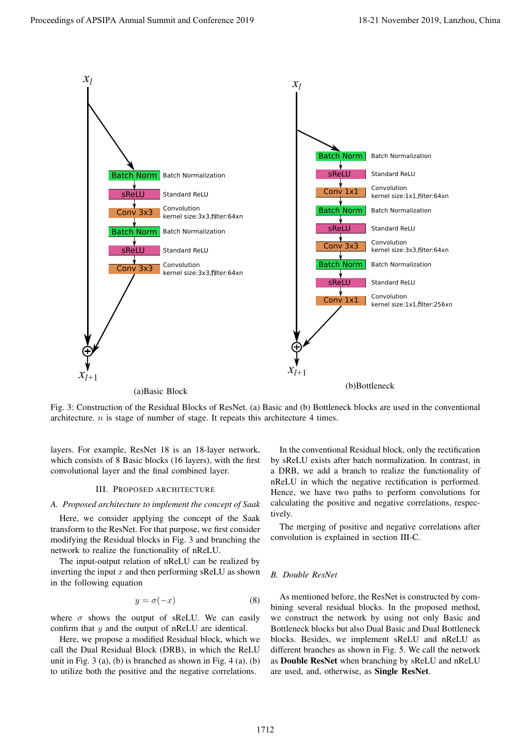

Fig. 3: Construction of the Residual Blocks of ResNet. (a) Basic and (b) Bottleneck blocks are used in the conventional architecture. *n* is stage of number of stage. It repeats this architecture 4 times.

layers. For example, ResNet 18 is an 18-layer network, which consists of 8 Basic blocks (16 layers), with the first convolutional layer and the final combined layer.

#### III. PROPOSED ARCHITECTURE

#### *A. Proposed architecture to implement the concept of Saak*

Here, we consider applying the concept of the Saak transform to the ResNet. For that purpose, we first consider modifying the Residual blocks in Fig. 3 and branching the network to realize the functionality of nReLU.

The input-output relation of nReLU can be realized by inverting the input *x* and then performing sReLU as shown in the following equation

$$
y = \sigma(-x) \tag{8}
$$

where  $\sigma$  shows the output of sReLU. We can easily confirm that *y* and the output of nReLU are identical.

Here, we propose a modified Residual block, which we call the Dual Residual Block (DRB), in which the ReLU unit in Fig.  $3$  (a), (b) is branched as shown in Fig.  $4$  (a), (b) to utilize both the positive and the negative correlations.

In the conventional Residual block, only the rectification by sReLU exists after batch normalization. In contrast, in a DRB, we add a branch to realize the functionality of nReLU in which the negative rectification is performed. Hence, we have two paths to perform convolutions for calculating the positive and negative correlations, respectively.

The merging of positive and negative correlations after convolution is explained in section III-C.

#### *B. Double ResNet*

As mentioned before, the ResNet is constructed by combining several residual blocks. In the proposed method, we construct the network by using not only Basic and Bottleneck blocks but also Dual Basic and Dual Bottleneck blocks. Besides, we implement sReLU and nReLU as different branches as shown in Fig. 5. We call the network as Double ResNet when branching by sReLU and nReLU are used, and, otherwise, as Single ResNet.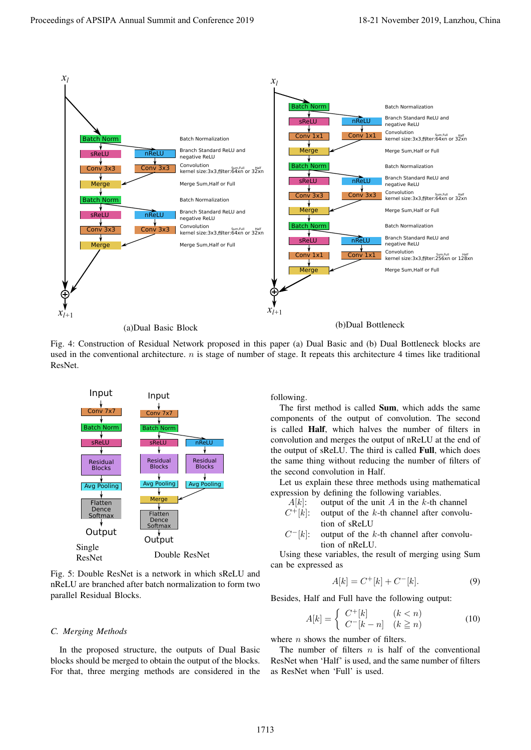

(a)Dual Basic Block

(b)Dual Bottleneck

Fig. 4: Construction of Residual Network proposed in this paper (a) Dual Basic and (b) Dual Bottleneck blocks are used in the conventional architecture. *n* is stage of number of stage. It repeats this architecture 4 times like traditional ResNet.



Fig. 5: Double ResNet is a network in which sReLU and nReLU are branched after batch normalization to form two parallel Residual Blocks.

#### *C. Merging Methods*

In the proposed structure, the outputs of Dual Basic blocks should be merged to obtain the output of the blocks. For that, three merging methods are considered in the following.

The first method is called Sum, which adds the same components of the output of convolution. The second is called Half, which halves the number of filters in convolution and merges the output of nReLU at the end of the output of sReLU. The third is called Full, which does the same thing without reducing the number of filters of the second convolution in Half.

Let us explain these three methods using mathematical expression by defining the following variables.

- $A[k]$ : output of the unit *A* in the *k*-th channel
- $C^{+}[k]$ : output of the *k*-th channel after convolution of sReLU
- $C^{-}[k]$ : *<sup>−</sup>*[*k*]: output of the *k*-th channel after convolution of nReLU.

Using these variables, the result of merging using Sum can be expressed as

$$
A[k] = C^{+}[k] + C^{-}[k].
$$
 (9)

Besides, Half and Full have the following output:

$$
A[k] = \begin{cases} C^+[k] & (k < n) \\ C^-[k-n] & (k \ge n) \end{cases} \tag{10}
$$

where *n* shows the number of filters.

The number of filters *n* is half of the conventional ResNet when 'Half' is used, and the same number of filters as ResNet when 'Full' is used.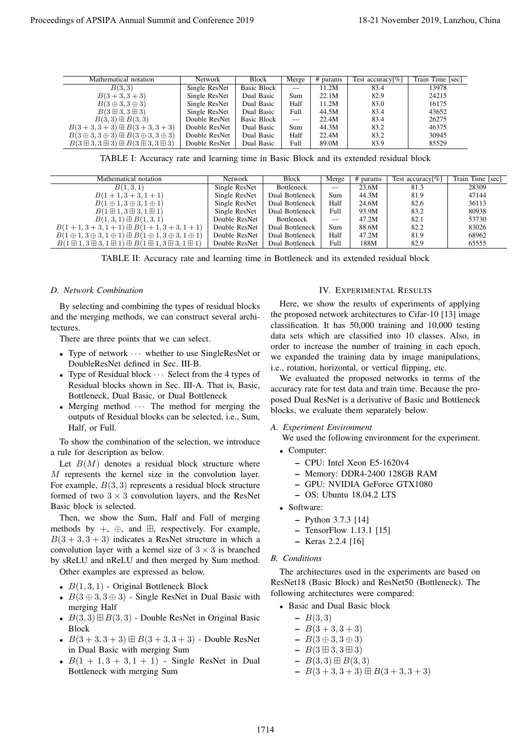| Mathematical notation                                                  | <b>Network</b> | <b>Block</b> | Merge | # params | Test accuracy $[\%]$ | Train Time [sec] |
|------------------------------------------------------------------------|----------------|--------------|-------|----------|----------------------|------------------|
| B(3,3)                                                                 | Single ResNet  | Basic Block  |       | 11.2M    | 83.4                 | 13978            |
| $B(3+3,3+3)$                                                           | Single ResNet  | Dual Basic   | Sum   | 22.1M    | 82.9                 | 24215            |
| $B(3 \oplus 3, 3 \oplus 3)$                                            | Single ResNet  | Dual Basic   | Half  | 11.2M    | 83.0                 | 16175            |
| $B(3 \boxplus 3, 3 \boxplus 3)$                                        | Single ResNet  | Dual Basic   | Full  | 44.5M    | 83.4                 | 43652            |
| $B(3,3) \boxplus B(3,3)$                                               | Double ResNet  | Basic Block  |       | 22.4M    | 83.4                 | 26275            |
| $B(3+3,3+3) \boxplus B(3+3,3+3)$                                       | Double ResNet  | Dual Basic   | Sum   | 44.3M    | 83.2                 | 46375            |
| $B(3 \oplus 3, 3 \oplus 3) \boxplus B(3 \oplus 3, 3 \oplus 3)$         | Double ResNet  | Dual Basic   | Half  | 22.4M    | 83.2                 | 30945            |
| $B(3 \boxplus 3, 3 \boxplus 3) \boxplus B(3 \boxplus 3, 3 \boxplus 3)$ | Double ResNet  | Dual Basic   | Full  | 89.0M    | 83.9                 | 85529            |

TABLE I: Accuracy rate and learning time in Basic Block and its extended residual block

|                                                                                                                                          | Network                                                      | Block                                  | Merge                                                                                                                 | # params                     | Test accuracy[%]                                             | Train Time [sec]     |                  |  |  |  |
|------------------------------------------------------------------------------------------------------------------------------------------|--------------------------------------------------------------|----------------------------------------|-----------------------------------------------------------------------------------------------------------------------|------------------------------|--------------------------------------------------------------|----------------------|------------------|--|--|--|
| B(3,3)<br>$B(3+3,3+3)$                                                                                                                   | Single ResNet<br>Single ResNet                               | <b>Basic Block</b><br>Dual Basic       | Sum                                                                                                                   | 11.2M<br>22.1M               | 83.4<br>82.9                                                 | 13978<br>24215       |                  |  |  |  |
| $B(3 \oplus 3, 3 \oplus 3)$                                                                                                              | Single ResNet                                                | Dual Basic                             | Half                                                                                                                  | 11.2M                        | 83.0                                                         | 16175                |                  |  |  |  |
| $B(3 \boxplus 3, 3 \boxplus 3)$                                                                                                          | Single ResNet                                                | Dual Basic                             | 44.5M<br>Full<br>$\overline{\phantom{m}}$                                                                             |                              | 83.4<br>83.4                                                 | 43652                | 26275            |  |  |  |
| $B(3,3) \boxplus B(3,3)$<br>$B(3+3,3+3) \boxplus B(3+3,3+3)$                                                                             | Double ResNet<br>Double ResNet                               | Basic Block<br>Dual Basic              | Sum                                                                                                                   | 22.4M<br>44.3M               | 83.2                                                         | 46375                |                  |  |  |  |
| $B(3 \oplus 3, 3 \oplus 3) \boxplus B(3 \oplus 3, 3 \oplus 3)$<br>$B(3 \boxplus 3, 3 \boxplus 3) \boxplus B(3 \boxplus 3, 3 \boxplus 3)$ | Double ResNet                                                | Dual Basic                             | Half<br>Full                                                                                                          | 22.4M<br>89.0M               | 83.2<br>83.9                                                 | 30945<br>85529       |                  |  |  |  |
| TABLE I: Accuracy rate and learning time in Basic Block and its extended residual block                                                  | Double ResNet                                                | Dual Basic                             |                                                                                                                       |                              |                                                              |                      |                  |  |  |  |
| Mathematical notation                                                                                                                    |                                                              | Network                                | <b>Block</b>                                                                                                          | Merge                        | $#$ params                                                   | Test accuracy[ $%$ ] | Train Time [sec] |  |  |  |
| B(1,3,1)                                                                                                                                 |                                                              | Single ResNet                          | Bottleneck                                                                                                            |                              | 23.6M                                                        | 81.3                 | 28309            |  |  |  |
| $B(1+1,3+3,1+1)$<br>$B(1 \oplus 1, 3 \oplus 3, 1 \oplus 1)$                                                                              |                                                              | Single ResNet<br>Single ResNet         | Dual Bottleneck<br>Dual Bottleneck                                                                                    | Sum<br>Half                  | 44.3M<br>24.6M                                               | 81.9<br>82.6         | 47144<br>36113   |  |  |  |
| $B(1 \boxplus 1, 3 \boxplus 3, 1 \boxplus 1)$                                                                                            |                                                              | Single ResNet                          | Dual Bottleneck                                                                                                       | Full                         | 93.9M                                                        | 83.2                 | 80938            |  |  |  |
| $B(1,3,1) \boxplus B(1,3,1)$                                                                                                             |                                                              | Double ResNet                          | <b>Bottleneck</b>                                                                                                     |                              | 47.2M                                                        | 82.1                 | 53730            |  |  |  |
| $B(1+1,3+3,1+1) \boxplus B(1+1,3+3,1+1)$<br>$B(1 \oplus 1, 3 \oplus 3, 1 \oplus 1) \boxplus B(1 \oplus 1, 3 \oplus 3, 1 \oplus 1)$       |                                                              | Double ResNet<br>Double ResNet         | Dual Bottleneck<br>Dual Bottleneck                                                                                    | Sum<br>Half                  | 88.6M<br>47.2M                                               | 82.2<br>81.9         | 83026<br>68962   |  |  |  |
| $B(1 \boxplus 1, 3 \boxplus 3, 1 \boxplus 1) \boxplus B(1 \boxplus 1, 3 \boxplus 3, 1 \boxplus 1)$                                       |                                                              | Double ResNet                          | Dual Bottleneck                                                                                                       | Full                         | 188M                                                         | 82.9                 | 65555            |  |  |  |
| TABLE II: Accuracy rate and learning time in Bottleneck and its extended residual block                                                  |                                                              |                                        |                                                                                                                       |                              |                                                              |                      |                  |  |  |  |
|                                                                                                                                          |                                                              |                                        |                                                                                                                       |                              |                                                              |                      |                  |  |  |  |
| D. Network Combination                                                                                                                   |                                                              |                                        | <b>IV. EXPERIMENTAL RESULTS</b><br>Here, we show the results of experiments of applying                               |                              |                                                              |                      |                  |  |  |  |
| By selecting and combining the types of residual blocks                                                                                  |                                                              |                                        |                                                                                                                       |                              |                                                              |                      |                  |  |  |  |
| and the merging methods, we can construct several archi-                                                                                 |                                                              |                                        | the proposed network architectures to Cifar-10 [13] image                                                             |                              |                                                              |                      |                  |  |  |  |
| tectures.                                                                                                                                |                                                              |                                        | classification. It has 50,000 training and 10,000 testing<br>data sets which are classified into 10 classes. Also, in |                              |                                                              |                      |                  |  |  |  |
| There are three points that we can select.                                                                                               |                                                              |                                        | order to increase the number of training in each epoch,                                                               |                              |                                                              |                      |                  |  |  |  |
| • Type of network $\cdots$ whether to use SingleResNet or                                                                                |                                                              |                                        |                                                                                                                       |                              | we expanded the training data by image manipulations,        |                      |                  |  |  |  |
| DoubleResNet defined in Sec. III-B.                                                                                                      |                                                              |                                        |                                                                                                                       |                              |                                                              |                      |                  |  |  |  |
| • Type of Residual block $\cdots$ Select from the 4 types of                                                                             |                                                              |                                        | i.e., rotation, horizontal, or vertical flipping, etc.<br>We evaluated the proposed networks in terms of the          |                              |                                                              |                      |                  |  |  |  |
| Residual blocks shown in Sec. III-A. That is, Basic,                                                                                     |                                                              |                                        |                                                                                                                       |                              | accuracy rate for test data and train time. Because the pro- |                      |                  |  |  |  |
| Bottleneck, Dual Basic, or Dual Bottleneck                                                                                               |                                                              |                                        | posed Dual ResNet is a derivative of Basic and Bottleneck                                                             |                              |                                                              |                      |                  |  |  |  |
| • Merging method $\cdots$ The method for merging the                                                                                     |                                                              |                                        | blocks, we evaluate them separately below.                                                                            |                              |                                                              |                      |                  |  |  |  |
| outputs of Residual blocks can be selected, i.e., Sum,                                                                                   |                                                              |                                        |                                                                                                                       |                              |                                                              |                      |                  |  |  |  |
| Half, or Full.                                                                                                                           |                                                              |                                        | A. Experiment Environment                                                                                             |                              |                                                              |                      |                  |  |  |  |
| To show the combination of the selection, we introduce                                                                                   |                                                              |                                        | We used the following environment for the experiment.                                                                 |                              |                                                              |                      |                  |  |  |  |
| a rule for description as below.                                                                                                         |                                                              |                                        | • Computer:                                                                                                           |                              |                                                              |                      |                  |  |  |  |
| Let $B(M)$ denotes a residual block structure where                                                                                      |                                                              |                                        | - CPU: Intel Xeon E5-1620v4                                                                                           |                              |                                                              |                      |                  |  |  |  |
| M represents the kernel size in the convolution layer.                                                                                   |                                                              | - Memory: DDR4-2400 128GB RAM          |                                                                                                                       |                              |                                                              |                      |                  |  |  |  |
| For example, $B(3,3)$ represents a residual block structure                                                                              |                                                              | - GPU: NVIDIA GeForce GTX1080          |                                                                                                                       |                              |                                                              |                      |                  |  |  |  |
| formed of two $3 \times 3$ convolution layers, and the ResNet                                                                            |                                                              | $-$ OS: Ubuntu 18.04.2 LTS             |                                                                                                                       |                              |                                                              |                      |                  |  |  |  |
| Basic block is selected.                                                                                                                 |                                                              | • Software:                            |                                                                                                                       |                              |                                                              |                      |                  |  |  |  |
| Then, we show the Sum, Half and Full of merging                                                                                          |                                                              | - Python $3.7.3$ [14]                  |                                                                                                                       |                              |                                                              |                      |                  |  |  |  |
| methods by $+$ , $\oplus$ , and $\boxplus$ , respectively. For example,                                                                  |                                                              | $-$ TensorFlow 1.13.1 [15]             |                                                                                                                       |                              |                                                              |                      |                  |  |  |  |
| $B(3+3,3+3)$ indicates a ResNet structure in which a                                                                                     |                                                              | - Keras $2.2.4$ [16]                   |                                                                                                                       |                              |                                                              |                      |                  |  |  |  |
| convolution layer with a kernel size of $3 \times 3$ is branched                                                                         |                                                              |                                        |                                                                                                                       |                              |                                                              |                      |                  |  |  |  |
| by sReLU and nReLU and then merged by Sum method.                                                                                        |                                                              |                                        | <b>B.</b> Conditions                                                                                                  |                              |                                                              |                      |                  |  |  |  |
| Other examples are expressed as below.                                                                                                   |                                                              |                                        | The architectures used in the experiments are based on                                                                |                              |                                                              |                      |                  |  |  |  |
| • $B(1,3,1)$ - Original Bottleneck Block                                                                                                 |                                                              |                                        |                                                                                                                       |                              | ResNet18 (Basic Block) and ResNet50 (Bottleneck). The        |                      |                  |  |  |  |
|                                                                                                                                          |                                                              | following architectures were compared: |                                                                                                                       |                              |                                                              |                      |                  |  |  |  |
| • $B(3 \oplus 3, 3 \oplus 3)$ - Single ResNet in Dual Basic with                                                                         |                                                              |                                        |                                                                                                                       |                              | • Basic and Dual Basic block                                 |                      |                  |  |  |  |
|                                                                                                                                          |                                                              |                                        |                                                                                                                       |                              |                                                              |                      |                  |  |  |  |
| merging Half                                                                                                                             | • $B(3,3) \boxplus B(3,3)$ - Double ResNet in Original Basic |                                        |                                                                                                                       | $- B(3,3)$<br>$- B(3+3,3+3)$ |                                                              |                      |                  |  |  |  |
|                                                                                                                                          |                                                              |                                        |                                                                                                                       | $-B(3 \oplus 3, 3 \oplus 3)$ |                                                              |                      |                  |  |  |  |
| <b>Block</b>                                                                                                                             |                                                              |                                        | $- B(3 \boxplus 3, 3 \boxplus 3)$                                                                                     |                              |                                                              |                      |                  |  |  |  |
| • $B(3 + 3, 3 + 3) \boxplus B(3 + 3, 3 + 3)$ - Double ResNet                                                                             |                                                              |                                        |                                                                                                                       |                              |                                                              |                      |                  |  |  |  |
| in Dual Basic with merging Sum                                                                                                           |                                                              |                                        |                                                                                                                       |                              |                                                              |                      |                  |  |  |  |
| • $B(1 + 1, 3 + 3, 1 + 1)$ - Single ResNet in Dual<br>Bottleneck with merging Sum                                                        |                                                              |                                        |                                                                                                                       | $-B(3,3) \boxplus B(3,3)$    | $-B(3+3,3+3) \boxplus B(3+3,3+3)$                            |                      |                  |  |  |  |

TABLE II: Accuracy rate and learning time in Bottleneck and its extended residual block

### *D. Network Combination*

- *•* Type of network *· · ·* whether to use SingleResNet or DoubleResNet defined in Sec. III-B.
- *•* Type of Residual block *· · ·* Select from the 4 types of Residual blocks shown in Sec. III-A. That is, Basic, Bottleneck, Dual Basic, or Dual Bottleneck
- Merging method  $\cdots$  The method for merging the outputs of Residual blocks can be selected, i.e., Sum, Half, or Full.

- *• B*(1*,* 3*,* 1) Original Bottleneck Block
- *• B*(3 *⊕* 3*,* 3 *⊕* 3) Single ResNet in Dual Basic with merging Half
- *• B*(3*,* 3)⊞*B*(3*,* 3) Double ResNet in Original Basic Block
- *• B*(3 + 3*,* 3 + 3) ⊞ *B*(3 + 3*,* 3 + 3) Double ResNet in Dual Basic with merging Sum
- $B(1 + 1, 3 + 3, 1 + 1)$  Single ResNet in Dual Bottleneck with merging Sum

#### IV. EXPERIMENTAL RESULTS

# *A. Experiment Environment*

- *•* Computer:
	- CPU: Intel Xeon E5-1620v4
	- Memory: DDR4-2400 128GB RAM
	- GPU: NVIDIA GeForce GTX1080
	- OS: Ubuntu 18.04.2 LTS
- *•* Software:
	- Python 3.7.3 [14]
	- TensorFlow 1.13.1 [15]
	- Keras 2.2.4 [16]

#### *B. Conditions*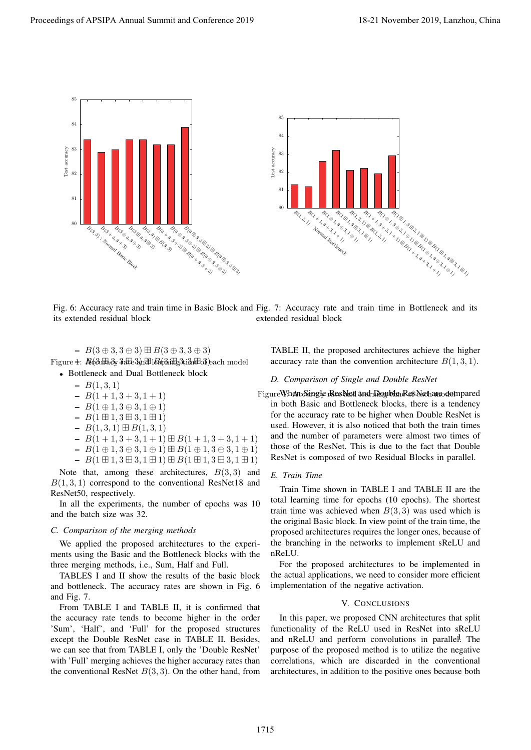

Fig. 6: Accuracy rate and train time in Basic Block and Fig. 7: Accuracy rate and train time in Bottleneck and its its extended residual block extended residual block

 $\operatorname{Figure 4:}$   $\mathbb{A}(\partial\mathbb{B} \partial_\mathbf{y} 3$ ഷ് $\partial\mathbb{A} \partial_\mathbf{y} 1$ മി $\partial\mathbb{A}$ ങ്ങ് $\partial\mathbb{B}$ ach model – *B*(3 *⊕* 3*,* 3 *⊕* 3) ⊞ *B*(3 *⊕* 3*,* 3 *⊕* 3)

*•* Bottleneck and Dual Bottleneck block

- $B(1, 3, 1)$
- $B(1 + 1, 3 + 3, 1 + 1)$
- *B*(1 *⊕* 1*,* 3 *⊕* 3*,* 1 *⊕* 1)
- *B*(1 ⊞ 1*,* 3 ⊞ 3*,* 1 ⊞ 1)
- *B*(1*,* 3*,* 1) ⊞ *B*(1*,* 3*,* 1)
- $-B(1+1, 3+3, 1+1) \boxplus B(1+1, 3+3, 1+1)$
- *B*(1 *⊕* 1*,* 3 *⊕* 3*,* 1 *⊕* 1) ⊞ *B*(1 *⊕* 1*,* 3 *⊕* 3*,* 1 *⊕* 1)
- *B*(1 ⊞ 1*,* 3 ⊞ 3*,* 1 ⊞ 1) ⊞ *B*(1 ⊞ 1*,* 3 ⊞ 3*,* 1 ⊞ 1)

Note that, among these architectures, *B*(3*,* 3) and *B*(1*,* 3*,* 1) correspond to the conventional ResNet18 and ResNet50, respectively.

In all the experiments, the number of epochs was 10 and the batch size was 32.

#### *C. Comparison of the merging methods*

We applied the proposed architectures to the experiments using the Basic and the Bottleneck blocks with the three merging methods, i.e., Sum, Half and Full.

TABLES I and II show the results of the basic block and bottleneck. The accuracy rates are shown in Fig. 6 and Fig. 7.

the accuracy rate tends to become higher in the order From TABLE I and TABLE II, it is confirmed that 'Sum', 'Half', and 'Full' for the proposed structures except the Double ResNet case in TABLE II. Besides, we can see that from TABLE I, only the 'Double ResNet' with 'Full' merging achieves the higher accuracy rates than the conventional ResNet  $B(3,3)$ . On the other hand, from

TABLE II, the proposed architectures achieve the higher accuracy rate than the convention architecture  $B(1,3,1)$ .

# *D. Comparison of Single and Double ResNet*

Figure When Single ResNet and Double ResNet are dempared

in both Basic and Bottleneck blocks, there is a tendency for the accuracy rate to be higher when Double ResNet is used. However, it is also noticed that both the train times and the number of parameters were almost two times of those of the ResNet. This is due to the fact that Double ResNet is composed of two Residual Blocks in parallel.

#### *E. Train Time*

Train Time shown in TABLE I and TABLE II are the total learning time for epochs (10 epochs). The shortest train time was achieved when  $B(3,3)$  was used which is the original Basic block. In view point of the train time, the proposed architectures requires the longer ones, because of the branching in the networks to implement sReLU and nReLU.

For the proposed architectures to be implemented in the actual applications, we need to consider more efficient implementation of the negative activation.

#### V. CONCLUSIONS

and nReLU and perform convolutions in parallel. The In this paper, we proposed CNN architectures that split functionality of the ReLU used in ResNet into sReLU purpose of the proposed method is to utilize the negative correlations, which are discarded in the conventional architectures, in addition to the positive ones because both